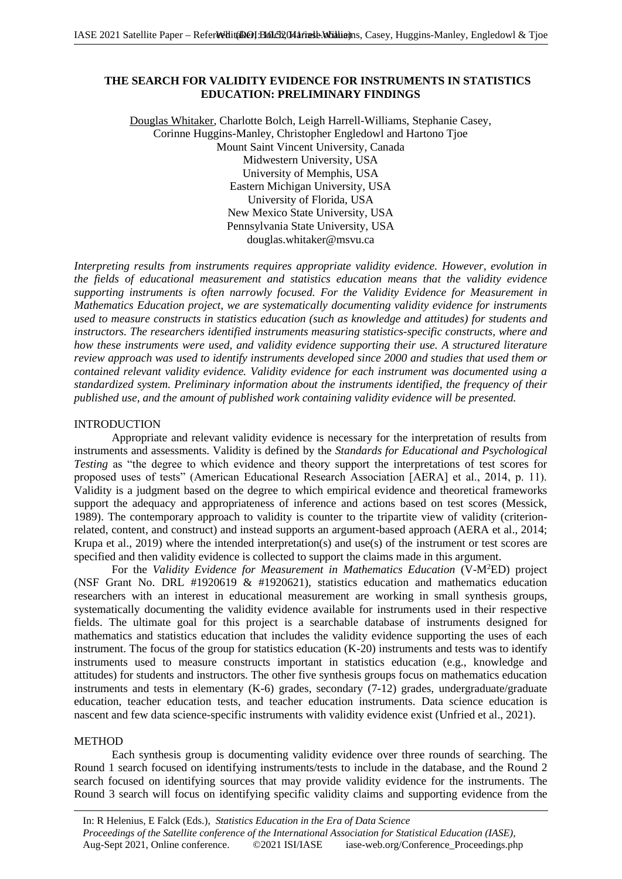# **THE SEARCH FOR VALIDITY EVIDENCE FOR INSTRUMENTS IN STATISTICS EDUCATION: PRELIMINARY FINDINGS**

Douglas Whitaker, Charlotte Bolch, Leigh Harrell-Williams, Stephanie Casey, Corinne Huggins-Manley, Christopher Engledowl and Hartono Tjoe Mount Saint Vincent University, Canada Midwestern University, USA University of Memphis, USA Eastern Michigan University, USA University of Florida, USA New Mexico State University, USA Pennsylvania State University, USA douglas.whitaker@msvu.ca

*Interpreting results from instruments requires appropriate validity evidence. However, evolution in the fields of educational measurement and statistics education means that the validity evidence supporting instruments is often narrowly focused. For the Validity Evidence for Measurement in Mathematics Education project, we are systematically documenting validity evidence for instruments used to measure constructs in statistics education (such as knowledge and attitudes) for students and instructors. The researchers identified instruments measuring statistics-specific constructs, where and how these instruments were used, and validity evidence supporting their use. A structured literature review approach was used to identify instruments developed since 2000 and studies that used them or contained relevant validity evidence. Validity evidence for each instrument was documented using a standardized system. Preliminary information about the instruments identified, the frequency of their published use, and the amount of published work containing validity evidence will be presented.*

# INTRODUCTION

Appropriate and relevant validity evidence is necessary for the interpretation of results from instruments and assessments. Validity is defined by the *Standards for Educational and Psychological Testing* as "the degree to which evidence and theory support the interpretations of test scores for proposed uses of tests" (American Educational Research Association [AERA] et al., 2014, p. 11). Validity is a judgment based on the degree to which empirical evidence and theoretical frameworks support the adequacy and appropriateness of inference and actions based on test scores (Messick, 1989). The contemporary approach to validity is counter to the tripartite view of validity (criterionrelated, content, and construct) and instead supports an argument-based approach (AERA et al., 2014; Krupa et al., 2019) where the intended interpretation(s) and use(s) of the instrument or test scores are specified and then validity evidence is collected to support the claims made in this argument.

For the *Validity Evidence for Measurement in Mathematics Education* (V-M<sup>2</sup>ED) project (NSF Grant No. DRL #1920619  $\&$  #1920621), statistics education and mathematics education researchers with an interest in educational measurement are working in small synthesis groups, systematically documenting the validity evidence available for instruments used in their respective fields. The ultimate goal for this project is a searchable database of instruments designed for mathematics and statistics education that includes the validity evidence supporting the uses of each instrument. The focus of the group for statistics education (K-20) instruments and tests was to identify instruments used to measure constructs important in statistics education (e.g., knowledge and attitudes) for students and instructors. The other five synthesis groups focus on mathematics education instruments and tests in elementary (K-6) grades, secondary (7-12) grades, undergraduate/graduate education, teacher education tests, and teacher education instruments. Data science education is nascent and few data science-specific instruments with validity evidence exist (Unfried et al., 2021).

# **METHOD**

Each synthesis group is documenting validity evidence over three rounds of searching. The Round 1 search focused on identifying instruments/tests to include in the database, and the Round 2 search focused on identifying sources that may provide validity evidence for the instruments. The Round 3 search will focus on identifying specific validity claims and supporting evidence from the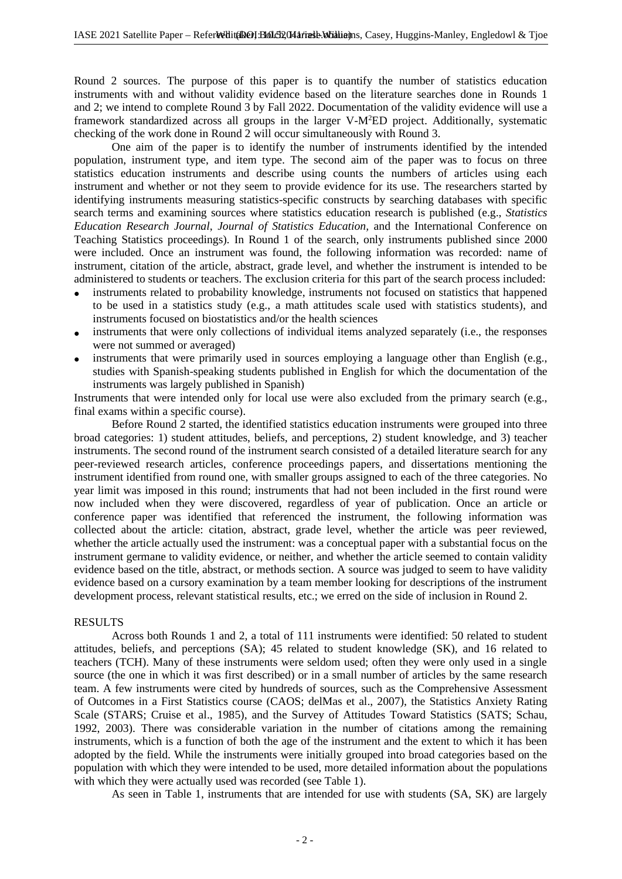Round 2 sources. The purpose of this paper is to quantify the number of statistics education instruments with and without validity evidence based on the literature searches done in Rounds 1 and 2; we intend to complete Round 3 by Fall 2022. Documentation of the validity evidence will use a framework standardized across all groups in the larger V-M<sup>2</sup>ED project. Additionally, systematic checking of the work done in Round 2 will occur simultaneously with Round 3.

One aim of the paper is to identify the number of instruments identified by the intended population, instrument type, and item type. The second aim of the paper was to focus on three statistics education instruments and describe using counts the numbers of articles using each instrument and whether or not they seem to provide evidence for its use. The researchers started by identifying instruments measuring statistics-specific constructs by searching databases with specific search terms and examining sources where statistics education research is published (e.g., *Statistics Education Research Journal*, *Journal of Statistics Education,* and the International Conference on Teaching Statistics proceedings)*.* In Round 1 of the search, only instruments published since 2000 were included. Once an instrument was found, the following information was recorded: name of instrument, citation of the article, abstract, grade level, and whether the instrument is intended to be administered to students or teachers. The exclusion criteria for this part of the search process included:

- instruments related to probability knowledge, instruments not focused on statistics that happened to be used in a statistics study (e.g., a math attitudes scale used with statistics students), and instruments focused on biostatistics and/or the health sciences
- instruments that were only collections of individual items analyzed separately (i.e., the responses were not summed or averaged)
- instruments that were primarily used in sources employing a language other than English (e.g., studies with Spanish-speaking students published in English for which the documentation of the instruments was largely published in Spanish)

Instruments that were intended only for local use were also excluded from the primary search (e.g., final exams within a specific course).

Before Round 2 started, the identified statistics education instruments were grouped into three broad categories: 1) student attitudes, beliefs, and perceptions, 2) student knowledge, and 3) teacher instruments. The second round of the instrument search consisted of a detailed literature search for any peer-reviewed research articles, conference proceedings papers, and dissertations mentioning the instrument identified from round one, with smaller groups assigned to each of the three categories. No year limit was imposed in this round; instruments that had not been included in the first round were now included when they were discovered, regardless of year of publication. Once an article or conference paper was identified that referenced the instrument, the following information was collected about the article: citation, abstract, grade level, whether the article was peer reviewed, whether the article actually used the instrument: was a conceptual paper with a substantial focus on the instrument germane to validity evidence, or neither, and whether the article seemed to contain validity evidence based on the title, abstract, or methods section. A source was judged to seem to have validity evidence based on a cursory examination by a team member looking for descriptions of the instrument development process, relevant statistical results, etc.; we erred on the side of inclusion in Round 2.

## RESULTS

Across both Rounds 1 and 2, a total of 111 instruments were identified: 50 related to student attitudes, beliefs, and perceptions (SA); 45 related to student knowledge (SK), and 16 related to teachers (TCH). Many of these instruments were seldom used; often they were only used in a single source (the one in which it was first described) or in a small number of articles by the same research team. A few instruments were cited by hundreds of sources, such as the Comprehensive Assessment of Outcomes in a First Statistics course (CAOS; delMas et al., 2007), the Statistics Anxiety Rating Scale (STARS; Cruise et al., 1985), and the Survey of Attitudes Toward Statistics (SATS; Schau, 1992, 2003). There was considerable variation in the number of citations among the remaining instruments, which is a function of both the age of the instrument and the extent to which it has been adopted by the field. While the instruments were initially grouped into broad categories based on the population with which they were intended to be used, more detailed information about the populations with which they were actually used was recorded (see Table 1).

As seen in Table 1, instruments that are intended for use with students (SA, SK) are largely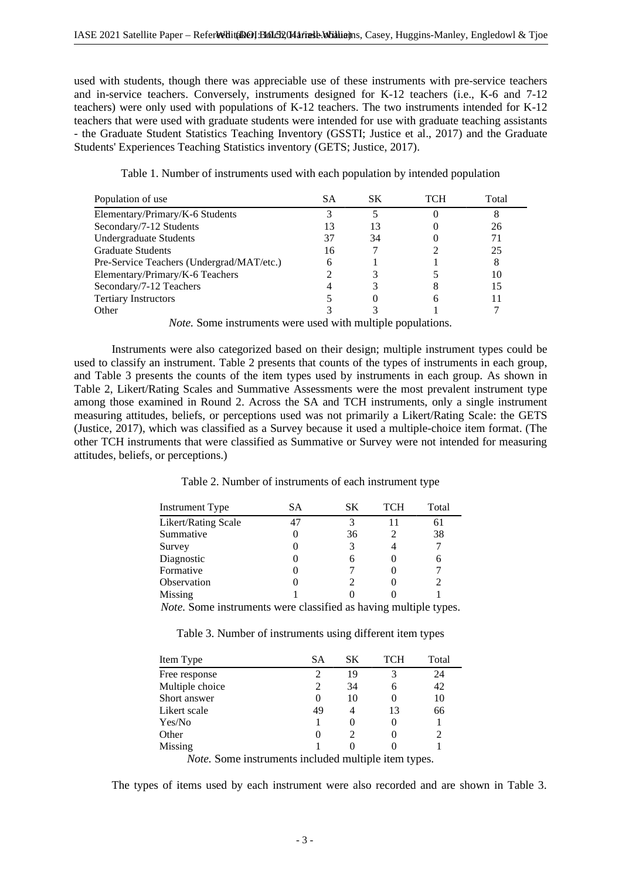used with students, though there was appreciable use of these instruments with pre-service teachers and in-service teachers. Conversely, instruments designed for K-12 teachers (i.e., K-6 and 7-12 teachers) were only used with populations of K-12 teachers. The two instruments intended for K-12 teachers that were used with graduate students were intended for use with graduate teaching assistants - the Graduate Student Statistics Teaching Inventory (GSSTI; Justice et al., 2017) and the Graduate Students' Experiences Teaching Statistics inventory (GETS; Justice, 2017).

| Table 1. Number of instruments used with each population by intended population |  |
|---------------------------------------------------------------------------------|--|
|                                                                                 |  |

| Population of use                         | SА | SК | TCH | Total |
|-------------------------------------------|----|----|-----|-------|
| Elementary/Primary/K-6 Students           |    |    |     |       |
| Secondary/7-12 Students                   | 13 | 13 |     | 26    |
| <b>Undergraduate Students</b>             | 37 | 34 |     | 71    |
| <b>Graduate Students</b>                  | 16 |    |     | 25    |
| Pre-Service Teachers (Undergrad/MAT/etc.) | 6  |    |     | 8     |
| Elementary/Primary/K-6 Teachers           |    |    |     | 10    |
| Secondary/7-12 Teachers                   |    |    |     | 15    |
| <b>Tertiary Instructors</b>               |    |    |     |       |
| Other                                     |    |    |     |       |

*Note.* Some instruments were used with multiple populations.

Instruments were also categorized based on their design; multiple instrument types could be used to classify an instrument. Table 2 presents that counts of the types of instruments in each group, and Table 3 presents the counts of the item types used by instruments in each group. As shown in Table 2, Likert/Rating Scales and Summative Assessments were the most prevalent instrument type among those examined in Round 2. Across the SA and TCH instruments, only a single instrument measuring attitudes, beliefs, or perceptions used was not primarily a Likert/Rating Scale: the GETS (Justice, 2017), which was classified as a Survey because it used a multiple-choice item format. (The other TCH instruments that were classified as Summative or Survey were not intended for measuring attitudes, beliefs, or perceptions.)

Table 2. Number of instruments of each instrument type

| Instrument Type     | SА | SК | <b>TCH</b> | Total |
|---------------------|----|----|------------|-------|
| Likert/Rating Scale |    |    |            | 61    |
| Summative           |    | 36 |            | 38    |
| Survey              |    | 3  |            | 7     |
| Diagnostic          |    | 6  |            | 6     |
| Formative           |    |    |            |       |
| Observation         |    |    |            |       |
| Missing             |    |    |            |       |
|                     |    |    |            |       |

*Note.* Some instruments were classified as having multiple types.

Table 3. Number of instruments using different item types

| Item Type       | SА | SК | TCH | Total |
|-----------------|----|----|-----|-------|
| Free response   |    | 19 | 3   | 24    |
| Multiple choice |    | 34 | 6   | 42    |
| Short answer    |    | 10 | 0   | 10    |
| Likert scale    | 49 |    | 13  | 66    |
| Yes/No          |    |    |     |       |
| Other           |    |    |     |       |
| <b>Missing</b>  |    |    |     |       |
|                 |    |    |     |       |

*Note.* Some instruments included multiple item types.

The types of items used by each instrument were also recorded and are shown in Table 3.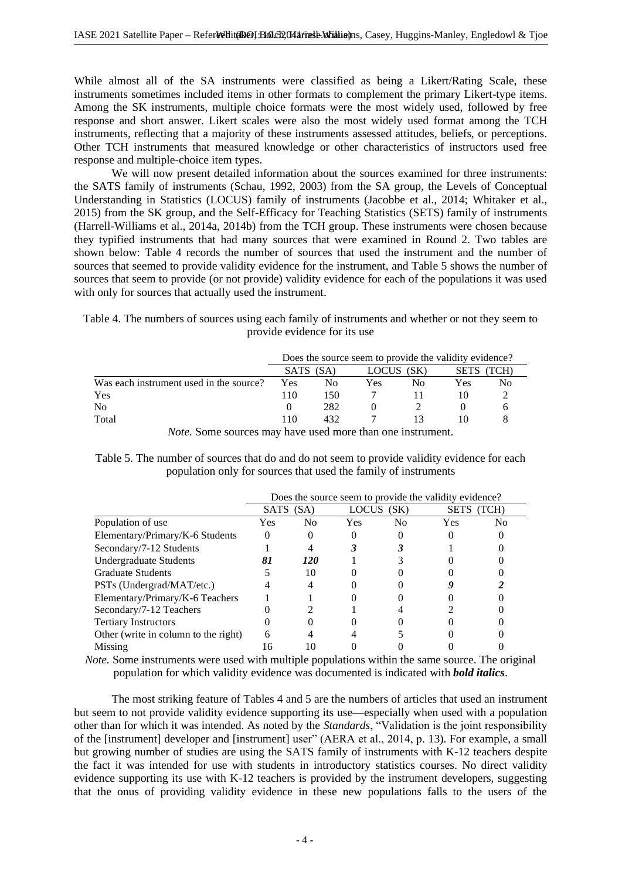While almost all of the SA instruments were classified as being a Likert/Rating Scale, these instruments sometimes included items in other formats to complement the primary Likert-type items. Among the SK instruments, multiple choice formats were the most widely used, followed by free response and short answer. Likert scales were also the most widely used format among the TCH instruments, reflecting that a majority of these instruments assessed attitudes, beliefs, or perceptions. Other TCH instruments that measured knowledge or other characteristics of instructors used free response and multiple-choice item types.

We will now present detailed information about the sources examined for three instruments: the SATS family of instruments (Schau, 1992, 2003) from the SA group, the Levels of Conceptual Understanding in Statistics (LOCUS) family of instruments (Jacobbe et al., 2014; Whitaker et al., 2015) from the SK group, and the Self-Efficacy for Teaching Statistics (SETS) family of instruments (Harrell-Williams et al., 2014a, 2014b) from the TCH group. These instruments were chosen because they typified instruments that had many sources that were examined in Round 2. Two tables are shown below: Table 4 records the number of sources that used the instrument and the number of sources that seemed to provide validity evidence for the instrument, and Table 5 shows the number of sources that seem to provide (or not provide) validity evidence for each of the populations it was used with only for sources that actually used the instrument.

Table 4. The numbers of sources using each family of instruments and whether or not they seem to provide evidence for its use

|                                         | Does the source seem to provide the validity evidence? |     |       |    |              |    |
|-----------------------------------------|--------------------------------------------------------|-----|-------|----|--------------|----|
|                                         | <b>SATS</b><br>(SA)                                    |     | LOCUS |    | SETS<br>TCH) |    |
| Was each instrument used in the source? | Yes                                                    | Nο  | Yes   | Nο | Yes          | Nο |
| Yes                                     | 110                                                    | 150 |       |    |              |    |
| N <sub>0</sub>                          |                                                        | 282 |       |    |              |    |
| Total                                   | 110                                                    | 432 |       |    |              |    |

*Note.* Some sources may have used more than one instrument.

Table 5. The number of sources that do and do not seem to provide validity evidence for each population only for sources that used the family of instruments

|                                      | Does the source seem to provide the validity evidence? |     |            |                |             |                |
|--------------------------------------|--------------------------------------------------------|-----|------------|----------------|-------------|----------------|
|                                      | <b>SATS</b><br>(SA)                                    |     | LOCUS (SK) |                | <b>SETS</b> | (TCH)          |
| Population of use                    | Yes.                                                   | No. | Yes        | N <sub>0</sub> | Yes         | N <sub>0</sub> |
| Elementary/Primary/K-6 Students      | 0                                                      |     |            |                |             |                |
| Secondary/7-12 Students              |                                                        |     |            |                |             |                |
| <b>Undergraduate Students</b>        | 81                                                     | 120 |            |                |             |                |
| <b>Graduate Students</b>             |                                                        | 10  |            |                |             |                |
| PSTs (Undergrad/MAT/etc.)            |                                                        |     |            |                |             |                |
| Elementary/Primary/K-6 Teachers      |                                                        |     |            |                |             |                |
| Secondary/7-12 Teachers              |                                                        |     |            |                |             |                |
| <b>Tertiary Instructors</b>          |                                                        |     |            |                |             |                |
| Other (write in column to the right) | 6                                                      |     |            |                |             |                |
| Missing                              | 16                                                     |     |            |                |             |                |

*Note.* Some instruments were used with multiple populations within the same source. The original population for which validity evidence was documented is indicated with *bold italics*.

The most striking feature of Tables 4 and 5 are the numbers of articles that used an instrument but seem to not provide validity evidence supporting its use—especially when used with a population other than for which it was intended. As noted by the *Standards*, "Validation is the joint responsibility of the [instrument] developer and [instrument] user" (AERA et al., 2014, p. 13). For example, a small but growing number of studies are using the SATS family of instruments with K-12 teachers despite the fact it was intended for use with students in introductory statistics courses. No direct validity evidence supporting its use with K-12 teachers is provided by the instrument developers, suggesting that the onus of providing validity evidence in these new populations falls to the users of the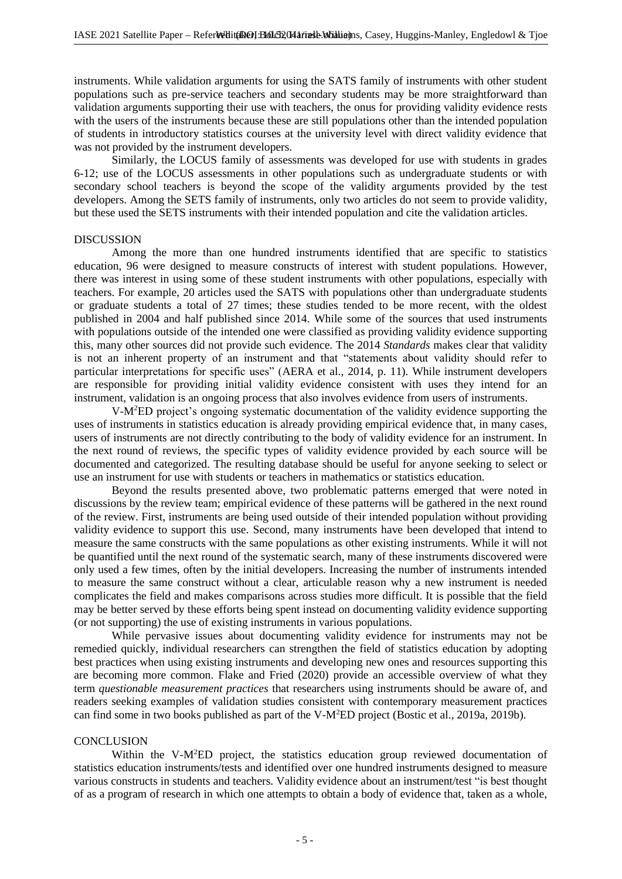instruments. While validation arguments for using the SATS family of instruments with other student populations such as pre-service teachers and secondary students may be more straightforward than validation arguments supporting their use with teachers, the onus for providing validity evidence rests with the users of the instruments because these are still populations other than the intended population of students in introductory statistics courses at the university level with direct validity evidence that was not provided by the instrument developers.

Similarly, the LOCUS family of assessments was developed for use with students in grades 6-12; use of the LOCUS assessments in other populations such as undergraduate students or with secondary school teachers is beyond the scope of the validity arguments provided by the test developers. Among the SETS family of instruments, only two articles do not seem to provide validity, but these used the SETS instruments with their intended population and cite the validation articles.

#### DISCUSSION

Among the more than one hundred instruments identified that are specific to statistics education, 96 were designed to measure constructs of interest with student populations. However, there was interest in using some of these student instruments with other populations, especially with teachers. For example, 20 articles used the SATS with populations other than undergraduate students or graduate students a total of 27 times; these studies tended to be more recent, with the oldest published in 2004 and half published since 2014. While some of the sources that used instruments with populations outside of the intended one were classified as providing validity evidence supporting this, many other sources did not provide such evidence. The 2014 *Standards* makes clear that validity is not an inherent property of an instrument and that "statements about validity should refer to particular interpretations for specific uses" (AERA et al., 2014, p. 11). While instrument developers are responsible for providing initial validity evidence consistent with uses they intend for an instrument, validation is an ongoing process that also involves evidence from users of instruments.

V-M<sup>2</sup>ED project's ongoing systematic documentation of the validity evidence supporting the uses of instruments in statistics education is already providing empirical evidence that, in many cases, users of instruments are not directly contributing to the body of validity evidence for an instrument. In the next round of reviews, the specific types of validity evidence provided by each source will be documented and categorized. The resulting database should be useful for anyone seeking to select or use an instrument for use with students or teachers in mathematics or statistics education.

Beyond the results presented above, two problematic patterns emerged that were noted in discussions by the review team; empirical evidence of these patterns will be gathered in the next round of the review. First, instruments are being used outside of their intended population without providing validity evidence to support this use. Second, many instruments have been developed that intend to measure the same constructs with the same populations as other existing instruments. While it will not be quantified until the next round of the systematic search, many of these instruments discovered were only used a few times, often by the initial developers. Increasing the number of instruments intended to measure the same construct without a clear, articulable reason why a new instrument is needed complicates the field and makes comparisons across studies more difficult. It is possible that the field may be better served by these efforts being spent instead on documenting validity evidence supporting (or not supporting) the use of existing instruments in various populations.

While pervasive issues about documenting validity evidence for instruments may not be remedied quickly, individual researchers can strengthen the field of statistics education by adopting best practices when using existing instruments and developing new ones and resources supporting this are becoming more common. Flake and Fried (2020) provide an accessible overview of what they term *questionable measurement practices* that researchers using instruments should be aware of, and readers seeking examples of validation studies consistent with contemporary measurement practices can find some in two books published as part of the V-M<sup>2</sup>ED project (Bostic et al., 2019a, 2019b).

#### **CONCLUSION**

Within the V-M<sup>2</sup>ED project, the statistics education group reviewed documentation of statistics education instruments/tests and identified over one hundred instruments designed to measure various constructs in students and teachers. Validity evidence about an instrument/test "is best thought of as a program of research in which one attempts to obtain a body of evidence that, taken as a whole,